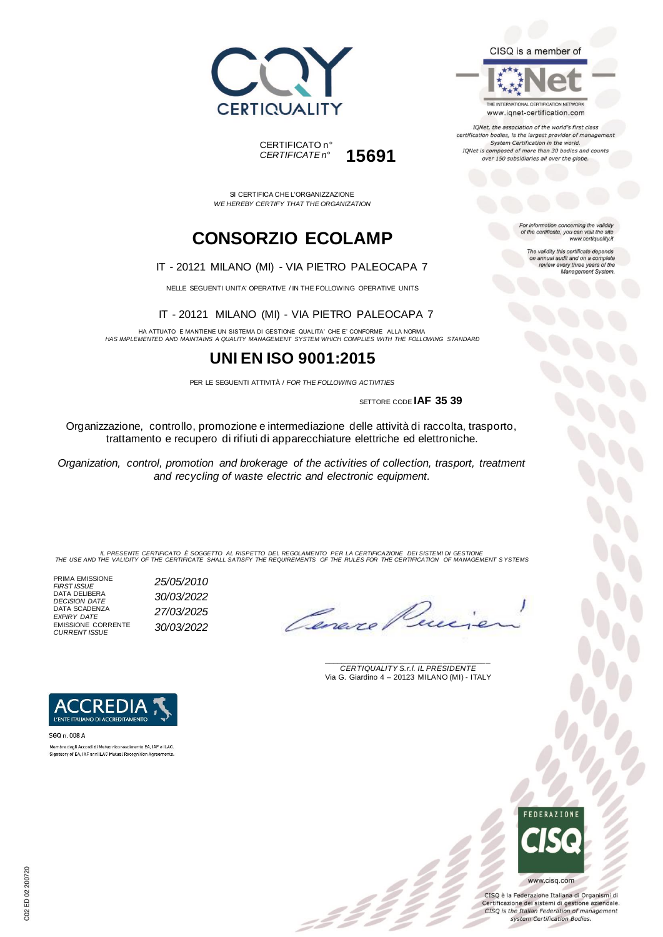



THE INTERNATIONAL CERTIFICATION NETWORK www.iqnet-certification.com

IQNet, the association of the world's first class certification bodies, is the largest provider of management System Certification in the world. IQNet is composed of more than 30 bodies and counts over 150 subsidiaries all over the globe.

For information concerning the validity<br>of the certificate, you can visit the site

The validity this certificate depends on annual audit and on a complete<br>review every three years of the<br>Management System.

www.certiquality.it

SI CERTIFICA CHE L'ORGANIZZAZIONE *WE HEREBY CERTIFY THAT THE ORGANIZATION*

CERTIFICATO n°

*CERTIFICATE n°* **15691**

# **CONSORZIO ECOLAMP**

#### IT - 20121 MILANO (MI) - VIA PIETRO PALEOCAPA 7

NELLE SEGUENTI UNITA' OPERATIVE / IN THE FOLLOWING OPERATIVE UNITS

IT - 20121 MILANO (MI) - VIA PIETRO PALEOCAPA 7

HA ATTUATO E MANTIENE UN SISTEMA DI GESTIONE QUALITA' CHE E' CONFORME ALLA NORMA *HAS IMPLEMENTED AND MAINTAINS A QUALITY MANAGEMENT SYSTEM WHICH COMPLIES WITH THE FOLLOWING STANDARD*

## **UNI EN ISO 9001:2015**

PER LE SEGUENTI ATTIVITÀ / *FOR THE FOLLOWING ACTIVITIES*

SETTORE CODE **IAF 35 39**

Organizzazione, controllo, promozione e intermediazione delle attività di raccolta, trasporto, trattamento e recupero di rifiuti di apparecchiature elettriche ed elettroniche.

*Organization, control, promotion and brokerage of the activities of collection, trasport, treatment and recycling of waste electric and electronic equipment.*

IL PRESENTE CERTIFICATO E SOGGETTO AL RISPETTO DEL REGOLAMENTO PER LA CERTIFICAZIONE DEI SISTEMI DI GESTIONE<br>THE USE AND THE VALIDITY OF THE CERTIFICATE SHALL SATISFY THE REQUIREMENTS OF THE RULES FOR THE CERTIFICATION OF

PRIMA EMISSIONE *FIRST ISSUE 25/05/2010* DATA DELIBERA *DECISION DATE 30/03/2022* DATA SCADENZA *EXPIRY DATE 27/03/2025* EMISSIONE CORRENTE *CURRENT ISSUE 30/03/2022*

Cenere

\_\_\_\_\_\_\_\_\_\_\_\_\_\_\_\_\_\_\_\_\_\_\_\_\_\_\_\_\_\_\_\_\_\_\_\_\_\_\_ *CERTIQUALITY S.r.l. IL PRESIDENTE* Via G. Giardino 4 – 20123 MILANO (MI) - ITALY



Membro degli Accordi di Mutuo riconoscimento EA, IAF e ILAC Signatory of EA, IAF and ILAC Mutual Recognition Agreements

> **FFDFRATIONE** www.cisq.com

CISQ è la Federazione Italiana di Organismi di Certificazione dei sistemi di gestione aziendale. CISQ is the Italian Federation of management system Certification Bodies.